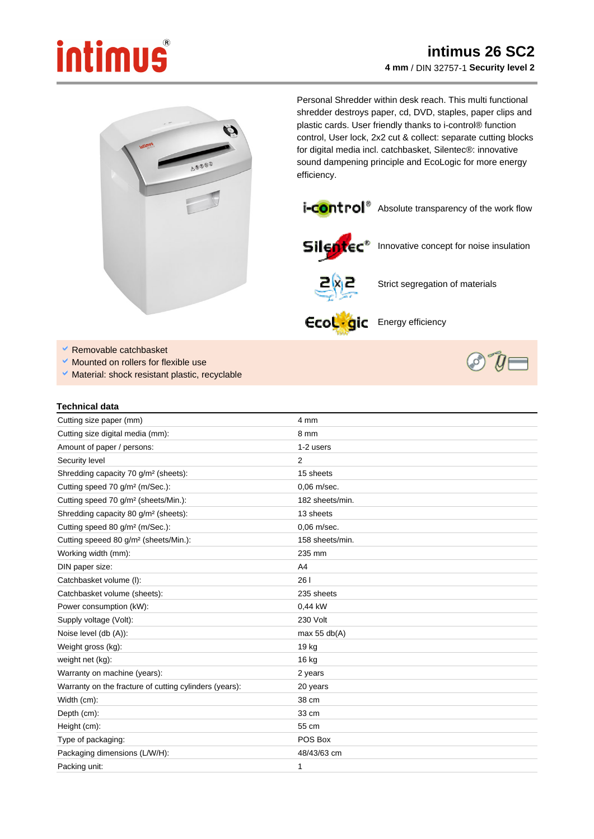## intimus



Personal Shredder within desk reach. This multi functional shredder destroys paper, cd, DVD, staples, paper clips and plastic cards. User friendly thanks to i-control® function control, User lock, 2x2 cut & collect: separate cutting blocks for digital media incl. catchbasket, Silentec®: innovative sound dampening principle and EcoLogic for more energy efficiency.



*i*-control<sup>®</sup> Absolute transparency of the work flow



Silentec<sup>\*</sup> Innovative concept for noise insulation



Strict segregation of materials

Ecoligic Energy efficiency

- ٧ Removable catchbasket
- Mounted on rollers for flexible use
- $\blacktriangledown$  Material: shock resistant plastic, recyclable

| Technical data |  |
|----------------|--|

| Cutting size paper (mm)                                | 4 mm            |
|--------------------------------------------------------|-----------------|
| Cutting size digital media (mm):                       | 8 mm            |
| Amount of paper / persons:                             | 1-2 users       |
| Security level                                         | 2               |
| Shredding capacity 70 g/m <sup>2</sup> (sheets):       | 15 sheets       |
| Cutting speed 70 g/m <sup>2</sup> (m/Sec.):            | 0,06 m/sec.     |
| Cutting speed 70 g/m <sup>2</sup> (sheets/Min.):       | 182 sheets/min. |
| Shredding capacity 80 g/m <sup>2</sup> (sheets):       | 13 sheets       |
| Cutting speed 80 g/m <sup>2</sup> (m/Sec.):            | $0.06$ m/sec.   |
| Cutting speeed 80 g/m <sup>2</sup> (sheets/Min.):      | 158 sheets/min. |
| Working width (mm):                                    | 235 mm          |
| DIN paper size:                                        | A <sub>4</sub>  |
| Catchbasket volume (I):                                | 26 I            |
| Catchbasket volume (sheets):                           | 235 sheets      |
| Power consumption (kW):                                | 0,44 kW         |
| Supply voltage (Volt):                                 | 230 Volt        |
| Noise level (db (A)):                                  | max 55 $db(A)$  |
| Weight gross (kg):                                     | 19 kg           |
| weight net (kg):                                       | 16 kg           |
| Warranty on machine (years):                           | 2 years         |
| Warranty on the fracture of cutting cylinders (years): | 20 years        |
| Width (cm):                                            | 38 cm           |
| Depth (cm):                                            | 33 cm           |
| Height (cm):                                           | 55 cm           |
| Type of packaging:                                     | POS Box         |
| Packaging dimensions (L/W/H):                          | 48/43/63 cm     |
| Packing unit:                                          | 1               |